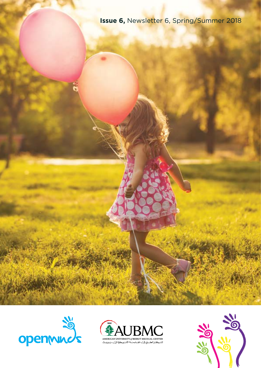**Issue 6,** Newsletter 6, Spring/Summer 2018





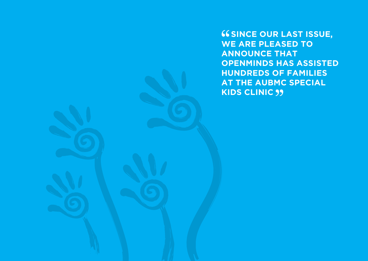**66 SINCE OUR LAST ISSUE, WE ARE PLEASED TO ANNOUNCE THAT OPENMINDS HAS ASSISTED HUNDREDS OF FAMILIES AT THE AUBMC SPECIAL KIDS CLINIC**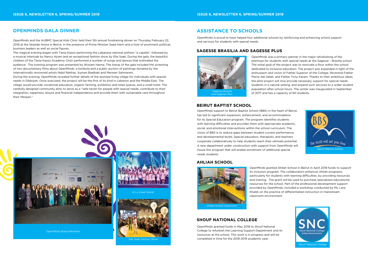### **OPENMINDS GALA DINNER**

OpenMinds and the AUBMC Special Kids Clinic held their 5th annual fundraising dinner on Thursday February 22, 2018 at the Seaside Arena in Beirut, in the presence of Prime Minister Saad Hariri and a host of prominent political, business leaders as well as social figures.

The magical evening began with Tania Kassis performing the Lebanese national anthem "a capella", followed by a musical interlude by Nancy Ajram and an exceptional fashion show by Elie Saab. During the gala, the beautiful children of the Tania Kassis Academy Choir performed a number of songs and dances that enthralled the audience. The evening program was presented by Wissam Hanna. The lineup of the gala included the screening of two documentary films about OpenMinds, a tombola and a public auction of paintings donated by the internationally renowned artists Nabil Nahhas, Ayman Baalbaki and Marwan Sahmarani.

During the evening, OpenMinds revealed further details of the assisted living village for individuals with special needs in Dibbiyeh. Once executed, the project will be the first of its kind in Lebanon and the Middle East. The village would provide vocational education, organic farming, exhibition and retail spaces, and a small hotel. The carefully designed community aims to serve as a "safe haven for people with special needs, contribute to their integration, happiness, leisure and financial independence and provide them with sustainable care throughout their lifespan."



*Elie Saab Fashion Show*



# **SAGESSE BRASILIA AND SAGESSE PLUS**

### **AHLIAH SCHOOL**



# **SHOUF NATIONAL COLLEGE**

### **BEIRUT BAPTIST SCHOOL**

OpenMinds is proud to have helped four additional schools by reinforcing and enhancing school support and services for students with special needs.

> OpenMinds was a primary partner in the major refurbishing of the premises for students with special needs at the Sagesse – Brasilia school. The initial goal of the project was to renovate a floor within the school dedicated to inclusive education. The project was expanded in light of the enthusiasm and vision of Father Superior of the College, Reverend Father Pierre Abi Saleh, and Father Tony Karam. Thanks to their ambitious ideas, the pilot project will now provide necessary support for special needs students in a natural setting, and expand such services to a wider student population after school hours. The center was inaugurated in September of 2017 and has a capacity of 60 students.

OpenMinds granted Ahliah School in Beirut in April 2018 funds to support its inclusion program. The collaboration enhances Ahliah programs, particularly for students with learning difficulties, by providing resources and training. The grant will be used to purchase specialized educational resources for the school. Part of the professional development support provided by OpenMinds, included a workshop conducted by Ms. Lara Khatib on the practice of differentiated instruction in mainstream classroom environment.

OpenMinds granted funds in May 2018 to Shouf National College to refurbish the Learning Support Department and its resources at the school. This work is in progress and will be completed in time for the 2018-2019 academic year.

OpenMinds support to Beirut Baptist School (BBS) in the heart of Beirut, has led to significant expansion, enhancement, and accommodation for its Special Education program. The program identifies students with learning difficulties and provides them with appropriate academic, social, and emotional interventions within the school curriculum. The vision of BBS is to reduce gaps between student current performance and developmental levels. Special educators, therapists, and teachers cooperate collaboratively to help students reach their ultimate potential. A new department under construction with support from OpenMinds will house this program that will enable enrollment of additional special needs students.





*Ahliah School Classroom*

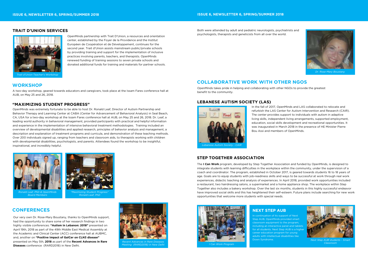### **TRAIT D'UNION SERVICES**

OpenMinds partnership with Trait D'Union, a resources and orientation center, established by the Foyer de la Providence and the Institut Européen de Coopération et de Développement, continues for the second year. Trait d'Union assists mainstream public/private schools by providing training and support for the implementation of inclusive practices involving parents, teachers, and therapists. OpenMinds renewed funding of training sessions to seven private schools and donated additional funds for training and materials for partner schools.



*Trait d'Union Teacher's Workshop*



*Ronald Leaf, PhD & OpenMinds Board Members*



*Recent Advances in Rare Diseases Meeting (RARD2018) in New Delhi*



*"Maximizing Student Progress" Ronald Leaf, PhD*

### **WORKSHOP**

# **CONFERENCES**

### **"MAXIMIZING STUDENT PROGRESS"**

A two-day workshop, geared towards educators and caregivers, took place at the Issam Fares conference hall at AUB, on May 25 and 26, 2018.

Our very own Dr. Rose-Mary Boustany, thanks to OpenMinds support, had the opportunity to share some of her research findings in two highly visible conferences: **"Autism in Lebanon: 2018"** presented on April 19th, 2018 as part of the 49th Middle East Medical Assembly at the Academic and Clinical Center (ACC) conference hall at AUBMC, and, another on **"Positive Impact of GalCer on CLN3 disease"** presented on May 5th, **2018** as part of the **Recent Advances in Rare Diseases** conference (RARD2018) in New Delhi.

OpenMinds was extremely fortunate to be able to host Dr. Ronald Leaf, Director of Autism Partnership and Behavior Therapy and Learning Center at CABA (Center for Advancement of Behavioral Analysis) in Seal Beach, CA, USA for a two-day workshop at the Issam Fares conference hall at AUB, on May 25 and 26, 2018. Dr. Leaf, a leading world authority in behavioral management, provided participants with practical and helpful information and experience in the implementation of intensive behavioral treatment methodologies. Training included an overview of developmental disabilities and applied research, principles of behavior analysis and management, a description and explanation of treatment programs and curricula, and demonstration of these teaching methods. Over 200 individuals signed up, ranging from teachers and classroom aids, to therapists working with children with developmental disabilities, psychologists, and parents. Attendees found the workshop to be insightful, inspirational, and incredibly helpful.

### *Dr. Rose-Mary Boustany*

*Lebanese Autism Society - CAIR*





*Next Step AUB students - Smart Classroom*

Both were attended by adult and pediatric neurologists, psychiatrists and psychologists, therapists and geneticists from all over the world.

# **COLLABORATIVE WORK WITH OTHER NGOS**

OpenMinds takes pride in helping and collaborating with other NGOs to provide the greatest benefit to the community.

### **LEBANESE AUTISM SOCIETY (LAS)**



### **STEP TOGETHER ASSOCIATION**

# **NEXT STEP AUB**

In the fall of 2017, OpenMinds and LAS collaborated to relocate and refurbish the LAS Center for Autism Intervention and Research (CAIR). The center provides support to individuals with autism in adaptive living skills, independent living arrangements, supported employment, education, social skills development and recreational opportunities. It was inaugurated in March 2018 in the presence of HE Minister Pierre Bou Assi and members of OpenMinds.

The **I Can Work** program, developed by Step Together Association and funded by OpenMinds, is designed to integrate students with learning difficulties in the workplace within the community, under the supervision of a coach and coordinator. The program, established in October 2017, is geared towards students 16 to 18 years of age. Goals are to equip students with job-readiness skills and ways to be successful at work through real work experiences, didactic teaching and analysis of experiences. In April 2018, provided work opportunities included a restaurant, two hairdressing salons, a supermarket and a home appliance shop. The workplace within Step Together also includes a bakery workshop. Over the last six months, students in this highly successful endeavor have improved social skills and this has heightened their self-esteem. Future plans include searching for new work opportunities that welcome more students with special needs.

> In continuation of its support of Next Step AUB, OpenMinds provided smart classroom equipment to the program, including an interactive panel and tablets for all students. Next Step AUB is a higher career education program for young adults with intellectual disabilities like Down Syndrome.

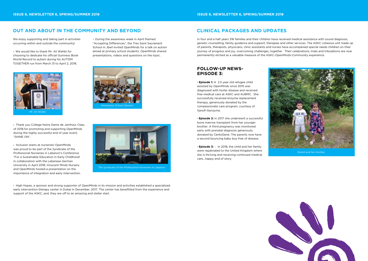*The syndicate of the Professional Nurseries in Lebanon*

# **OUT AND ABOUT IN THE COMMUNITY AND BEYOND**

We enjoy supporting and taking part in activities occurring within and outside the community!

 We would like to thank Mr. Ali Wehbi for choosing to dedicate his official Guinness Book World Record to autism during his AUTISM TOGETHER run from March 31 to April 2, 2018.

• Inclusion starts at nurseries! OpenMinds was proud to be part of the Syndicate of the Professional Nurseries in Lebanon's Conference "For a Sustainable Education in Early Childhood' in collaboration with the Lebanese German University in April 2018. Innocent Minds Nursery and OpenMinds hosted a presentation on the importance of integration and early intervention.

 Thank you College Notre Dame de Jamhour Class of 2018 for promoting and supporting OpenMinds during the highly successful end of year event, "SHINE ON".

• During the awareness week in April themed "Accepting Differences", the Tres Saint Sacrament School in Jbeil invited OpenMinds for a talk on autism aimed at primary school students. OpenMinds shared presentations, videos and questions on the topic.

 High Hopes, a sponsor and strong supporter of OpenMinds in its mission and activities established a specialized early intervention therapy center in Dubai in December, 2017. The center has benefitted from the experience and support of the ASKC, and, they are off to an amazing and stellar start.

**Episode 1:** A 2.5 year old refugee child assisted by OpenMinds since 2015 was diagnosed with Hurler disease and received free medical care at ASKC and AUBMC. She successfully received enzyme replacement therapy, generously donated by the compassionate care program, courtesy of Sanofi-Genzyme.







# **CLINICAL PACKAGES AND UPDATES**

In four and a half years 316 families and their children have received medical assistance with sound diagnosis, genetic counselling, family guidance and support, therapies and other services. The ASKC cohesive unit made up of parents, therapists, physicians, clinic assistants and nurses have accompanied special needs children on their journey of progress and joy, overcoming challenges, together. Their celebrations, trials and tribulations are now permanently etched as a valuable measure of the ASKC-OpenMinds-Community experience.



*Shahd and her brother*



# **FOLLOW-UP NEWS-EPISODE 3:**

 **Episode 2:** In 2017 she underwent a successful bone marrow transplant from her younger brother. A third pregnancy was monitored early with prenatal diagnosis generously donated by CentoGene. The parents now have a second bouncing baby boy free of disease.

 **Episode 3:** : In 2018, the child and her family were repatriated to the United Kingdom where she is thriving and receiving continued medical care…happy end of story.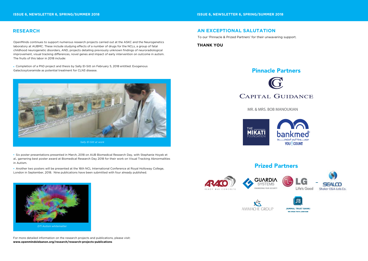# **RESEARCH**

OpenMinds continues to support numerous research projects carried out at the ASKC and the Neurogenetics laboratory at AUBMC. These include studying effects of a number of drugs for the NCLs, a group of fatal childhood neurogenetic disorders, AND, projects detailing previously unknown findings of neuroradiological improvement, visual tracking differences, novel genes and impact of early intervention on outcome in autism. The fruits of this labor in 2018 include:

 Completion of a PhD project and thesis by Sally El-Sitt on February 5, 2018 entitled: Exogenous Galactosylceramide as potential treatment for CLN3 disease.



*Sally El-Sitt at work*

# Pinnacle Partners G

For more detailed information on the research projects and publications, please visit: **www.openmindslebanon.org/research/research-projects-publications**

*DTI Autism whitematter* 

 Six poster presentations presented in March, 2018 on AUB Biomedical Research Day, with Stephanie Hoyek et al., garnering best poster award at Biomedical Research Day 2018 for their work on Visual Tracking Abnormalities in Autism.

 Another two posters will be presented at the 16th NCL International Conference at Royal Holloway College, London in September, 2018. Nine publications have been submitted with four already published.



# **AN EXCEPTIONAL SALUTATION**

### **THANK YOU**

To our 'Pinnacle & Prized Partners' for their unwavering support.

# Prized Partners

MR. & MRS. BOB MANOUKIAN